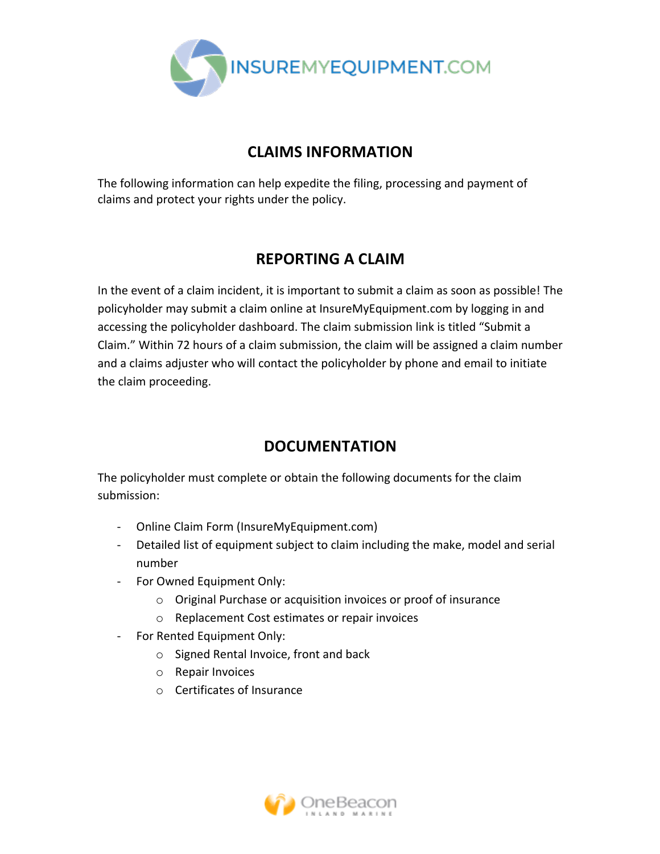

## **CLAIMS INFORMATION**

The following information can help expedite the filing, processing and payment of claims and protect your rights under the policy.

## **REPORTING A CLAIM**

In the event of a claim incident, it is important to submit a claim as soon as possible! The policyholder may submit a claim online at InsureMyEquipment.com by logging in and accessing the policyholder dashboard. The claim submission link is titled "Submit a Claim." Within 72 hours of a claim submission, the claim will be assigned a claim number and a claims adjuster who will contact the policyholder by phone and email to initiate the claim proceeding.

## **DOCUMENTATION**

The policyholder must complete or obtain the following documents for the claim submission: 

- Online Claim Form (InsureMyEquipment.com)
- Detailed list of equipment subject to claim including the make, model and serial number
- For Owned Equipment Only:
	- $\circ$  Original Purchase or acquisition invoices or proof of insurance
	- o Replacement Cost estimates or repair invoices
- For Rented Equipment Only:
	- $\circ$  Signed Rental Invoice, front and back
	- o Repair Invoices
	- $\circ$  Certificates of Insurance